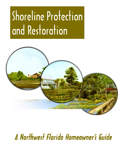# Shoreline Protection and Restoration



# A Northwest Florida Homeowner's Guide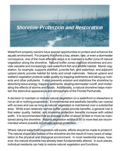

Waterfront property owners have special opportunities to protect and enhance the aquatic environment. For property that fronts a bay, stream, lake, or even a stormwater conveyance, one of the most effective steps is to maintain a buffer zone of natural vegetation along the shoreline. Natural buffer zones stabilize shorelines and provide valuable and increasingly rare waterfront fish and wildlife habitat. Marsh vegetation, for example, supports shellfish, juvenile fish, and waterfowl, and adjacent upland plants provide habitat for birds and small mammals. Natural upland and wetland vegetation protects water quality by trapping sediments and taking up nutrients and other pollutants. It also prevents erosion and stabilizes the shoreline by absorbing wave energy, trapping sediments, slowing stormwater runoff, and moderating the effects of storms and floods. Additionally, a natural shoreline helps maintain the distinctive appearance and atmosphere of the Florida Panhandle.

A decision to maintain or restore natural vegetation on a waterfront or elsewhere is not an all or nothing proposition. Environmental and aesthetic benefits can coexist with access and use as long as natural vegetation is maintained over a substantial area. While even relatively narrow buffer zones provide benefits, a general rule is that water quality, habitat, and shoreline protection benefits increase with added width. It is recommended that an average buffer of about 30 feet or more be maintained along the shoreline. Natural vegetation widths of 50 or more feet are recommended where possible to provide optimal protection.

Where natural waterfront vegetation still exists, efforts should be made to protect it. The natural shape and habitat of the shoreline are the result of many years of adaptation to the physical and biological environment. In most residential areas, however, the natural shoreline has already been fundamentally altered. In such places, individual residents can help to restore natural vegetation and functions.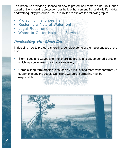This brochure provides guidance on how to protect and restore a natural Florida waterfront for shoreline protection, aesthetic enhancement, fish and wildlife habitat, and water quality protection. You are invited to explore the following topics:

- Protecting the Shoreline
- Restoring a Natural Waterfront
- Legal Requirements
- Where to Go for Help and Services

# Protecting the Shoreline

In deciding how to protect a shoreline, consider some of the major causes of erosion:

- Storm tides and waves alter the shoreline profile and cause periodic erosion, which may be followed by a natural recovery.
- Chronic, long-term erosion is caused by a lack of sediment transport from upstream or along the coast. Dams and waterfront armoring may be responsible.

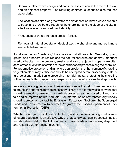- Seawalls reflect wave energy and can increase erosion at the toe of the wall and on adjacent property. The resulting sediment suspension also reduces water clarity.
- The location of a site along the water, the distance wind-blown waves are able to travel and grow before reaching the shoreline, and the slope of the site all affect wave energy and sediment stability.
- Frequent boat wakes increase erosion forces.
- Removal of natural vegetation destabilizes the shoreline and makes it more susceptible to erosion.

Avoid armoring or "hardening" the shoreline if at all possible. Seawalls, riprap, groins, and other structures replace the natural shoreline and destroy important intertidal habitat. In the process, erosion and loss of adjacent property are often accelerated due to the alteration of the sand transport process along the shoreline. For preemptive protection and minor erosion problems, enhancement of shoreline vegetation alone may suffice and should be attempted before proceeding to structural solutions. In addition to preserving intertidal habitat, protecting the shoreline with a natural buffer zone is quite inexpensive compared to a structural approach.

In cases where ongoing erosion threatens substantial fixed structures, some action to protect the shoreline may be necessary. There are alternatives to conventional shoreline armoring, however, that can both protect an eroding waterfront and maintain and/or improve natural habitats. For information on environmentally friendly shoreline protection, contact the Ecosystem Restoration Section or the Submerged Lands and Environmental Resources Program of the Florida Department of Environmental Protection (DEP).

Whether or not your shoreline is protected by a structure, maintaining a buffer zone of natural vegetation is an effective way of protecting water quality, coastal habitat, and shoreline stability. The following section provides details about ways to protect and restore a waterfront buffer zone.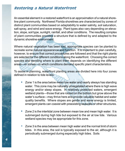## Restoring a Natural Waterfront

An essential element in a restored waterfront is an approximation of a natural shoreline plant community. Northwest Florida shorelines are characterized by zones of distinct plant communities based on adaptability to water salinity, soil saturation, salt spray, and wind and wave energy. Plant types also vary depending on elevation, slope, soil type, sunlight, rainfall, and other conditions. The resulting complex of plant communities provides a structure that is defined by and adapted to the dynamic shoreline environment.

Where natural vegetation has been lost, appropriate species can be planted to recreate some natural appearance and function. It is important to plan carefully, however, to ensure that correct procedures are followed and that the right plants are selected for the different conditions along the waterfront. Choosing the correct species and deciding where to plant them depends on identifying the different areas—or zones—in which conditions demand specific plant characteristics.

To assist in planning, waterfront planting areas are divided here into four zones defined in relation to tide levels:

- Zone 1 is the area below mean low water and nearly always has standing water. This zone may be naturally unvegetated where there is high wave energy and/or steep slopes. In relatively protected waters, emergent wetland plants—those that are rooted on the bottom but grow above the water's surface—may thrive here and provide valuable habitat and water quality benefits. Where slopes are gentle and wave energy is limited, emergent plants can coexist with preexisting seawalls or other structures.
- Zone 2 is the intertidal zone between mean low and mean high water. It is submerged during high tide but exposed to the air at low tide. Various wetland species may be appropriate for this zone.
- Zone 3 is the area between mean high water and the normal limit of storm tides. In this area, the soil is typically exposed to the air, although it is periodically submerged during especially high tides. Soils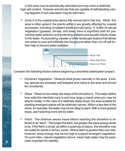high salt content. Grasses and shrubs that are capable of withstanding varying degrees of soil saturation may do well here. in this area may be periodically saturated and may have a relatively

• Zone 4 is the coastal area above the normal storm tide line. While this area is often upland, the plants within it are greatly affected by coastal processes, including consistent winds and salt spray. A buffer of natural vegetation (grasses, shrubs, and trees) here is important both for preventing water pollution and protecting wetland and aquatic plants closer to the water. Incorporating a swale or other landscape feature that allows rain water to pool and infiltrate into the ground rather than run off will further help to prevent water pollution.



Consider the following factors before beginning a shoreline stabilization project:

- Dominant Vegetation: Observe what grows naturally in the area. Existing species are probably well adapted and native to the area and should be considered.
- Slope: Observe how steep the slope of the shoreline is. This helps define how wide the intertidal zone is and how large a marsh area you may be able to create. In the case of a relatively steep slope, the area suitable for planting emergent plants will be relatively narrow. Within a few feet of the shore, for example, the water may be too deep to plant. With a more gradual slope, each planting zone will be wider.
- Fetch: The distance waves travel before reaching the shoreline is referred to as "fetch." The longer the fetch, the greater the wave energy tends to be. If the fetch is small, as within a quiet bay or bayou, the shoreline may be suited for plants in all four zones. Where fetch is greater than one mile, however, wave energy may be too high to support emergent vegetation. On such sites, natural vegetation above mean high water may be especially important for stability.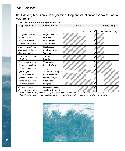#### Plant Selection

The following tables provide suggestions for plant selection for northwest Florida waterfronts:

| <b>Species Name</b>   | <b>Common Name</b>   | Zone |              |   |   | <b>Salinity Range*</b> |        |      |  |
|-----------------------|----------------------|------|--------------|---|---|------------------------|--------|------|--|
|                       |                      |      |              |   |   |                        |        |      |  |
|                       |                      | 1    | $\mathbf{2}$ | 3 | 4 | Low                    | Medium | High |  |
| Nymphaea odorata      | Fragrant water lily  |      |              |   |   |                        |        |      |  |
| Juncus effusus        | Soft rush            |      |              |   |   |                        |        |      |  |
| Pontederia cordata    | Pickerelweed         |      |              |   |   |                        |        |      |  |
| Scirpus californicus  | Giant bulrush        |      |              |   |   |                        |        |      |  |
| Panicum hemitomon     | Maidencane           |      |              |   |   |                        |        |      |  |
| Zizaniopsis miliacea  | Southern wild rice   |      |              |   |   |                        |        |      |  |
| Zizania aquatica      | Wild rice            |      |              |   |   |                        |        |      |  |
| Crinum americanum     | Swamp lily           |      |              |   |   |                        |        |      |  |
| Iris virginica        | Blue flag            |      |              |   |   |                        |        |      |  |
| Scirpus americanus    | Three square         |      |              |   |   |                        |        |      |  |
| Sagittaria lancifolia | Lance-leaf arrowhead |      |              |   |   |                        |        |      |  |
| Cladium jamaicense    | Sawgrass             |      |              |   |   |                        |        |      |  |
| Spartina patens       | Saltmeadow cordgrass |      |              |   |   |                        |        |      |  |
| Juncus roemerianus    | Black needlerush     |      |              |   |   |                        |        |      |  |
| Spartina alterniflora | Smooth cordgrass     |      |              |   |   |                        |        |      |  |
| Paspalum distichum    | Knot-grass           |      |              |   |   |                        |        |      |  |
| Distichlis spicata    | Saltgrass            |      |              |   |   |                        |        |      |  |
| Scirpus robustus      | Saltmarsh bulrush    |      |              |   |   |                        |        |      |  |
| Sporobolus virginicus | Seashore dropseed    |      |              |   |   |                        |        |      |  |

#### Shoreline Plant Suitability for Zones 1-4

\*General water salinity tolerance ranges in parts per thousand (ppt): low = 0-5; medium = 6-15; high = 16-33. Note that these are general quidelines for average conditions. Actual salinity ranges often vary widely.

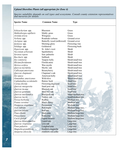#### Upland Shoreline Plants (all appropriate for Zone 4)

Species suitability depends on soil types and ecosystems. Consult county extension representatives and nurseries for details.

| <b>Species Name</b><br><b>Common Name</b><br><b>Type</b>    |  |
|-------------------------------------------------------------|--|
| Bluestem<br>Grass<br>Schizachyrium spp.                     |  |
| Muhlenbergia capillaris<br>Muhly grass<br>Grass             |  |
| Aristida stricta<br>Wiregrass<br>Grass                      |  |
| Roadside verbena<br>Ground cover<br>Verbena spp.            |  |
| Butterfly weed (milkweed)<br>Ground cover<br>Asclepias spp. |  |
| Flowering vine<br>Morning-glory<br>Ipomoea spp.             |  |
| Goldenrod<br>Solidago spp.<br>Flowering bush                |  |
| St. John's wort<br>Shrub<br>Hypericum spp.                  |  |
| Vaccinium arboreum<br>Sparkleberry<br>Shrub                 |  |
| Shrub<br>Serenoa repens<br>Saw palmetto                     |  |
| Saltbush<br>Shrub<br>Baccharis spp.                         |  |
| Shrub/small tree<br>Ilex vomitoria<br>Yaupon holly          |  |
| Illicium floridanum<br>Florida anise<br>Shrub/small tree    |  |
| Myrica cerifera<br>Wax myrtle<br>Shrub/small tree           |  |
| Shrub/small tree<br>Quercus myrtifolia<br>Myrtle oak        |  |
| Callicarpa americana<br>Beautyberry<br>Shrub/small tree     |  |
| Quercus chapmanii<br>Chapman's oak<br>Shrub/small tree      |  |
| American holly<br>Shrub/small tree<br>Ilex opaca            |  |
| Wild olive<br>Osmanthus americanus<br>Shrub/small tree      |  |
| Cephalanthus occidentalis<br>Button bush<br>Small tree      |  |
| Small tree<br>Cornus florida<br>Flowering dogwood           |  |
| Small tree<br>Sand post oak<br>Quercus margaretta           |  |
| Bluejack oak<br>Small tree<br>Ouercus incana                |  |
| Sand live oak<br>Small tree<br>Quercus geminata             |  |
| Small/medium tree<br>Ouercus marilandica<br>Blackjack oak   |  |
| Small/medium tree<br>Quercus laevis<br>Turkey oak           |  |
| Medium tree<br>Persea borbonia<br>Redbay                    |  |
| Medium tree<br>Prunus serotina<br><b>Black cherry</b>       |  |
| Persimmon<br>Medium tree<br>Diospyros virginiana            |  |
| Acer rubrum<br>Medium/large tree<br>Red maple               |  |
| Red oak<br>Medium/large tree<br>Quercus falcata             |  |
| Pinus elliottii<br>Slash pine<br>Medium/large tree          |  |
| Pinus clausa<br>Sand pine<br>Medium/large tree              |  |
| Carya glabra<br>Pignut hickory<br>Medium/large tree         |  |
| Quercus hemisphaerica<br>Laurel oak<br>Large tree           |  |
| Live oak<br>Quercus virginiana<br>Large tree                |  |
| Pinus palustris<br>Longleaf pine<br>Large tree              |  |
| Magnolia grandiflora<br>Southern magnolia<br>Large tree     |  |
| Southern red cedar<br>Juniperus silicicola<br>Large tree    |  |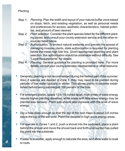#### **Planting**

- Step 1: Planning. Plan the width and layout of your natural buffer zone based on slope, fetch, and existing vegetation, as well as personal needs and preferences for access, aesthetic characteristics, habitat potential, and amount of lawn desired.
- Plant selection. Consider the plant species listed for the different planting zones, and consult your county extension service and the other resources listed below. Step 2:
- Authorization. To protect natural wetlands and prevent the spread of damaging invasive plants, state authorization is required for planting below the mean high tide line. Given appropriate planning and plant selection, this authorization should be obtainable without difficulty. See "Legal Requirements" for details. Step 3:
- Planting. General guidance for planting is provided here. For more details, consult your county extension representative or other resource. Step 4:
- Generally, planting is not recommended during the hottest part of the summer. Also, if species are desired in Zone 1, they may need to be planted during periods of low water typically in winter. This allows plants to become established before being submerged 100 percent of the time.
- For emergent plants, space 12 to 18 inches apart. High levels of wave energy require higher planting densities, while areas with little wave energy may be planted less densely. Plant size should also increase with the level of wave energy.
- Dig a hole deep enough so that the top of the root mass is about 3-8 inches below the top of the soil level. Plant the deepest in high wave energy areas.
- For species in Zones 1 and 2, push a shovel into the sediment, place a plant behind the shovel and move the shovel back and forth until suction has pulled the plant into the substrate.
- If water is available, apply enough to saturate the area, and allow water to soak to roots.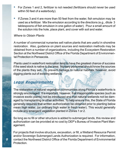- For Zones 1 and 2, fertilizer is not needed (fertilizers should never be used within 50 feet of a waterbody).
- If Zones 3 and 4 are more than 50 feet from the water, fish emulsion may be used as a fertilizer. Mix the emulsion according to the directions (e.g., dilute 3 tablespoons of fish emulsion in one gallon of water). Pour a small amount of the solution into the hole, place plant, and cover with soil and water.

#### Where to Obtain Plants

A number of commercial nurseries sell native plants that are useful in shoreline restoration. Also, guidance on plant sources and restoration methods may be obtained from a number of organizations, including the Ecosystem Restoration Section at the Northwest District Office of the Florida Department of Environmental Protection in Pensacola.

if the seed stock is native to the area. Nursery personnel should know the sources of the plants they sell. To prevent damage to natural habitats, however, avoid digging plants out of existing wetlands. Plants used in waterfront restoration tend to have the greatest chance of success

### Legal Requirements

The restoration of natural vegetation communities along Florida's waterfronts is strongly encouraged. It is important, however, that inappropriate species (such as invasive exotic plants) not be introduced and that natural wetlands not be damaged by transplanting or other activities. To help ensure this, the State of Florida generally requires that written authorization be obtained prior to planting below mean high water (or ordinary high water in fresh water). This would generally include any emergent vegetation planted in Zones 1 or 2.

So long as no fill or other structure is added to submerged lands, this review and authorization can be provided at no cost by DEP's Bureau of Invasive Plant Management.

For projects that involve structure, excavation, or fill, a Wetland Resource Permit and/or Sovereign Submerged Lands Authorization is required. For information, contact the Northwest District Office of the Florida Department of Environmental Protection.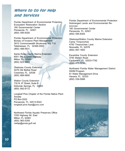# Where to Go for Help and Services

Florida Department of Environmental Protection Ecosystem Restoration Section 160 Governmental Center Pensacola, FL 32501 (850) 595-8300

Florida Department of Environmental Protection Bureau of Invasive Plant Management 3915 Commonwealth Boulevard, MS 710 Tallahassee, FL 32399-3000 (850) 488-5631

Santa Rosa County Marine Extension 6051 Old Bagdad Highway Milton, FL 32583 (850) 623-3868

Okaloosa County Extension 5479 Old Bethel Road Crestview, FL 32536 (850) 689-5850

Walton County Extension 732 N. 9<sup>th</sup> Street, Suite B Defuniak Springs, FL 32433 (850) 892-8172

Longleaf Pine Chapter of the Florida Native Plant Society PO Box 9322 Pensacola, FL 32513-9322 longleaf.pine.fnps@juno.com

Northwest Florida Aquatic Preserves Office 7255 Highway 90, East Milton, FL 32583 (850) 983-5359 nwfap@pcola.gulf.net

Florida Department of Environmental Protection Submerged Lands and Environmental Resources 160 Governmental Center Pensacola, FL 32501 (850) 595-8300

Okaloosa/Walton County Marine Extension Camp Timpoochee 4750 Timpoochee Lane Niceveille, FL 32578 (850) 897-1800

Escambia County Extension 3740 Stefani Road Cantoment, FL 32533-7792 (850) 475-5230

Northwest Florida Water Management District SWIM Program 81 Water Management Drive Havana, FL 32333 (850) 539-5999

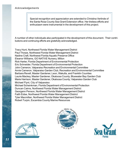#### Acknowledgements

Special recognition and appreciation are extended to Christina Verlinde of the Santa Rosa County Sea Grant Extension office. Her tireless efforts and enthusiasm were instrumental in the development of this project.

A number of other individuals also participated in the development of this document. Their contributions and continuing efforts are gratefully acknowledged.

Tracy Hunt, Northwest Florida Water Management District Paul Thorpe, Northwest Florida Water Management District Nadine Craft, Northwest Florida Aquatic Preserve Office Eleanor Williams, GO NATIVE Nursery, Milton Rick Harter, Florida Department of Environmental Protection Eric Schneider, Florida Department of Environmental Protection John Cameron, Valparaiso Recreation and Environmental Committee Annie Cameron, Valparaiso Garden Club, Recreation and Environmental Committee Barbara Revell, Master Gardener, Leon, Wakulla, and Franklin Counties Laurie Mackey, Master Gardener, Okaloosa County; Bluewater Bay Garden Club Marie Harrison, Master Gardener, Okaloosa County; Valparaiso Garden Club Michael Flynt, City of Valparaiso Michael Scheinkman, Florida Department of Environmental Protection Duncan Cairns, Northwest Florida Water Management District Georgann Penson, Northwest Florida Water Management District Faith Eidse, Northwest Florida Water Management District Tyler Macmillan, Northwest Florida Water Management District Robert Turpin, Escambia County Marine Resources





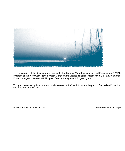

The preparation of this document was funded by the Surface Water Improvement and Management (SWIM) Program of the Northwest Florida Water Management District as partial match for a U.S. Environmental Protection Agency Section 319 Nonpoint Source Management Program grant.

This publication was printed at an approximate cost of \$.33 each to inform the public of Shoreline Protection and Restoration activities.

Public Information Bulletin 01-2 **Printed on recycled paper.** Printed on recycled paper.